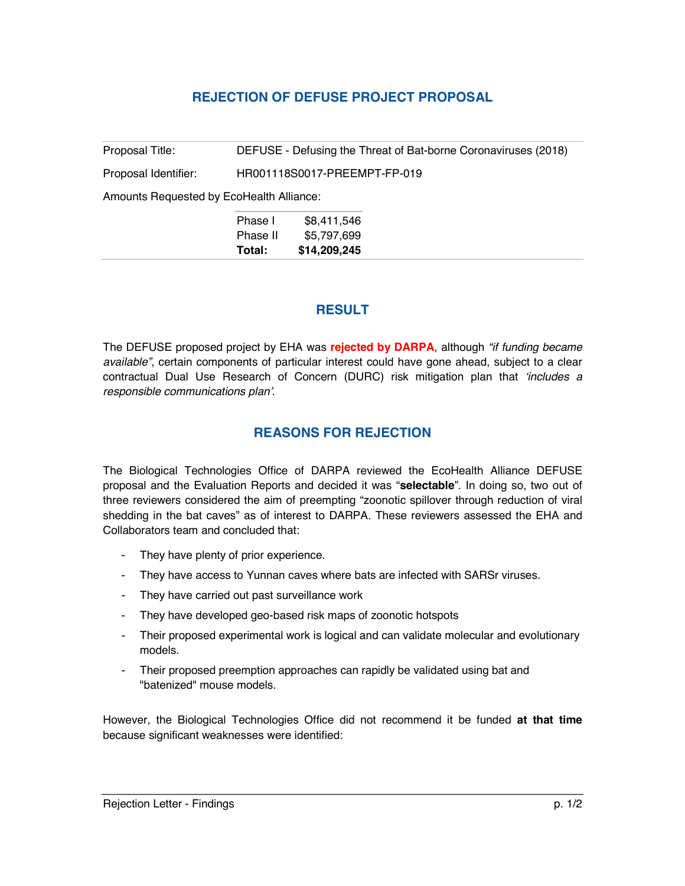## **REJECTION OF DEFUSE PROJECT PROPOSAL**

Proposal Title: DEFUSE - Defusing the Threat of Bat-borne Coronaviruses (2018) Proposal Identifier: HR001118S0017-PREEMPT-FP-019

Amounts Requested by EcoHealth Alliance:

| Phase I  | \$8,411,546  |
|----------|--------------|
| Phase II | \$5,797,699  |
| Total:   | \$14,209,245 |

## **RESULT**

The DEFUSE proposed project by EHA was **rejected by DARPA**, although *"if funding became available"*, certain components of particular interest could have gone ahead, subject to a clear contractual Dual Use Research of Concern (DURC) risk mitigation plan that *'includes a responsible communications plan'*.

## **REASONS FOR REJECTION**

The Biological Technologies Office of DARPA reviewed the EcoHealth Alliance DEFUSE proposal and the Evaluation Reports and decided it was "**selectable**". In doing so, two out of three reviewers considered the aim of preempting "zoonotic spillover through reduction of viral shedding in the bat caves" as of interest to DARPA. These reviewers assessed the EHA and Collaborators team and concluded that:

- They have plenty of prior experience.
- They have access to Yunnan caves where bats are infected with SARSr viruses.
- They have carried out past surveillance work
- They have developed geo-based risk maps of zoonotic hotspots
- Their proposed experimental work is logical and can validate molecular and evolutionary models.
- Their proposed preemption approaches can rapidly be validated using bat and "batenized" mouse models.

However, the Biological Technologies Office did not recommend it be funded **at that time** because significant weaknesses were identified: